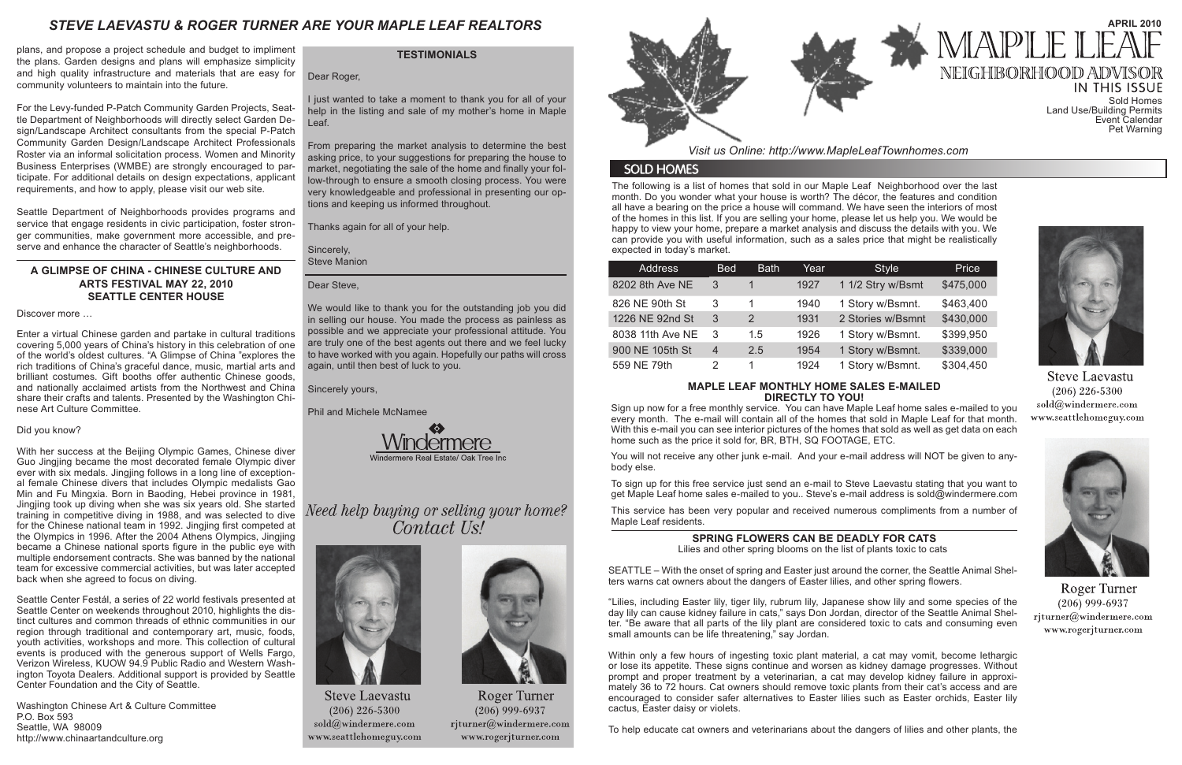The following is a list of homes that sold in our Maple Leaf Neighborhood over the last month. Do you wonder what your house is worth? The décor, the features and condition all have a bearing on the price a house will command. We have seen the interiors of most of the homes in this list. If you are selling your home, please let us help you. We would be happy to view your home, prepare a market analysis and discuss the details with you. We can provide you with useful information, such as a sales price that might be realistically expected in today's market.

**IN THIS ISSUE** Sold Homes Land Use/Building Permits Event Calendar Pet Warning



**Steve Laevastu**  $(206)$  226-5300 sold@windermere.com www.seattlehomeguy.com



**Roger Turner**  $(206)$  999-6937 rjturner@windermere.com www.rogerjturner.com

*Visit us Online: http://www.MapleLeafTownhomes.com*

# **SOLD HOMES**

# *STEVE LAEVASTU & ROGER TURNER ARE YOUR MAPLE LEAF REALTORS*

# **MAPLE LEAF MONTHLY HOME SALES E-MAILED DIRECTLY TO YOU!**

Sign up now for a free monthly service. You can have Maple Leaf home sales e-mailed to you every month. The e-mail will contain all of the homes that sold in Maple Leaf for that month. With this e-mail you can see interior pictures of the homes that sold as well as get data on each home such as the price it sold for, BR, BTH, SQ FOOTAGE, ETC.

You will not receive any other junk e-mail. And your e-mail address will NOT be given to anybody else.

To sign up for this free service just send an e-mail to Steve Laevastu stating that you want to get Maple Leaf home sales e-mailed to you.. Steve's e-mail address is sold@windermere.com

This service has been very popular and received numerous compliments from a number of Maple Leaf residents.

### **TESTIMONIALS**

Dear Roger,

I just wanted to take a moment to thank you for all of your help in the listing and sale of my mother's home in Maple Leaf.

From preparing the market analysis to determine the best asking price, to your suggestions for preparing the house to market, negotiating the sale of the home and finally your follow-through to ensure a smooth closing process. You were very knowledgeable and professional in presenting our options and keeping us informed throughout.

> Within only a few hours of ingesting toxic plant material, a cat may vomit, become lethargic or lose its appetite. These signs continue and worsen as kidney damage progresses. Without prompt and proper treatment by a veterinarian, a cat may develop kidney failure in approximately 36 to 72 hours. Cat owners should remove toxic plants from their cat's access and are encouraged to consider safer alternatives to Easter lilies such as Easter orchids, Easter lily cactus, Easter daisy or violets.

Thanks again for all of your help.

Sincerely, Steve Manion

Dear Steve,

We would like to thank you for the outstanding job you did in selling our house. You made the process as painless as possible and we appreciate your professional attitude. You are truly one of the best agents out there and we feel lucky to have worked with you again. Hopefully our paths will cross again, until then best of luck to you.

Sincerely yours,

Phil and Michele McNamee



Need help buying or selling your home? Contact Us!



**Steve Laevastu**  $(206)$  226-5300 sold@windermere.com www.seattlehomeguy.com



Roger Turner  $(206)$  999-6937 rjturner@windermere.com www.rogerjturner.com



| <b>Address</b>   | <b>Bed</b>     | <b>Bath</b>   | Year | <b>Style</b>      | Price     |
|------------------|----------------|---------------|------|-------------------|-----------|
| 8202 8th Ave NE  | 3              |               | 1927 | 1 1/2 Stry w/Bsmt | \$475,000 |
| 826 NE 90th St   | 3              | 1             | 1940 | 1 Story w/Bsmnt.  | \$463,400 |
| 1226 NE 92nd St  | 3              | $\mathcal{P}$ | 1931 | 2 Stories w/Bsmnt | \$430,000 |
| 8038 11th Ave NE | 3              | 1.5           | 1926 | 1 Story w/Bsmnt.  | \$399,950 |
| 900 NE 105th St  | $\overline{4}$ | 2.5           | 1954 | 1 Story w/Bsmnt.  | \$339,000 |
| 559 NE 79th      | 2              | 1             | 1924 | 1 Story w/Bsmnt.  | \$304,450 |

# **SPRING FLOWERS CAN BE DEADLY FOR CATS**

Lilies and other spring blooms on the list of plants toxic to cats

SEATTLE – With the onset of spring and Easter just around the corner, the Seattle Animal Shelters warns cat owners about the dangers of Easter lilies, and other spring flowers.

"Lilies, including Easter lily, tiger lily, rubrum lily, Japanese show lily and some species of the day lily can cause kidney failure in cats," says Don Jordan, director of the Seattle Animal Shelter. "Be aware that all parts of the lily plant are considered toxic to cats and consuming even small amounts can be life threatening," say Jordan.

To help educate cat owners and veterinarians about the dangers of lilies and other plants, the



# **APRIL 2010** MAPLE NEIGHBORHOOD ADV

plans, and propose a project schedule and budget to impliment the plans. Garden designs and plans will emphasize simplicity and high quality infrastructure and materials that are easy for community volunteers to maintain into the future.

For the Levy-funded P-Patch Community Garden Projects, Seattle Department of Neighborhoods will directly select Garden Design/Landscape Architect consultants from the special P-Patch Community Garden Design/Landscape Architect Professionals Roster via an informal solicitation process. Women and Minority Business Enterprises (WMBE) are strongly encouraged to participate. For additional details on design expectations, applicant requirements, and how to apply, please visit our web site.

Seattle Department of Neighborhoods provides programs and service that engage residents in civic participation, foster stronger communities, make government more accessible, and preserve and enhance the character of Seattle's neighborhoods.

# **A GLIMPSE OF CHINA - CHINESE CULTURE AND ARTS FESTIVAL MAY 22, 2010 SEATTLE CENTER HOUSE**

Discover more …

Enter a virtual Chinese garden and partake in cultural traditions covering 5,000 years of China's history in this celebration of one of the world's oldest cultures. "A Glimpse of China "explores the rich traditions of China's graceful dance, music, martial arts and brilliant costumes. Gift booths offer authentic Chinese goods, and nationally acclaimed artists from the Northwest and China share their crafts and talents. Presented by the Washington Chinese Art Culture Committee.

### Did you know?

With her success at the Beijing Olympic Games, Chinese diver Guo Jingjing became the most decorated female Olympic diver ever with six medals. Jingjing follows in a long line of exceptional female Chinese divers that includes Olympic medalists Gao Min and Fu Mingxia. Born in Baoding, Hebei province in 1981, Jingjing took up diving when she was six years old. She started training in competitive diving in 1988, and was selected to dive for the Chinese national team in 1992. Jingjing first competed at the Olympics in 1996. After the 2004 Athens Olympics, Jingjing became a Chinese national sports figure in the public eye with multiple endorsement contracts. She was banned by the national team for excessive commercial activities, but was later accepted back when she agreed to focus on diving.

Seattle Center Festál, a series of 22 world festivals presented at Seattle Center on weekends throughout 2010, highlights the distinct cultures and common threads of ethnic communities in our region through traditional and contemporary art, music, foods, youth activities, workshops and more. This collection of cultural events is produced with the generous support of Wells Fargo, Verizon Wireless, KUOW 94.9 Public Radio and Western Washington Toyota Dealers. Additional support is provided by Seattle Center Foundation and the City of Seattle.

Washington Chinese Art & Culture Committee P.O. Box 593 Seattle, WA 98009 http://www.chinaartandculture.org